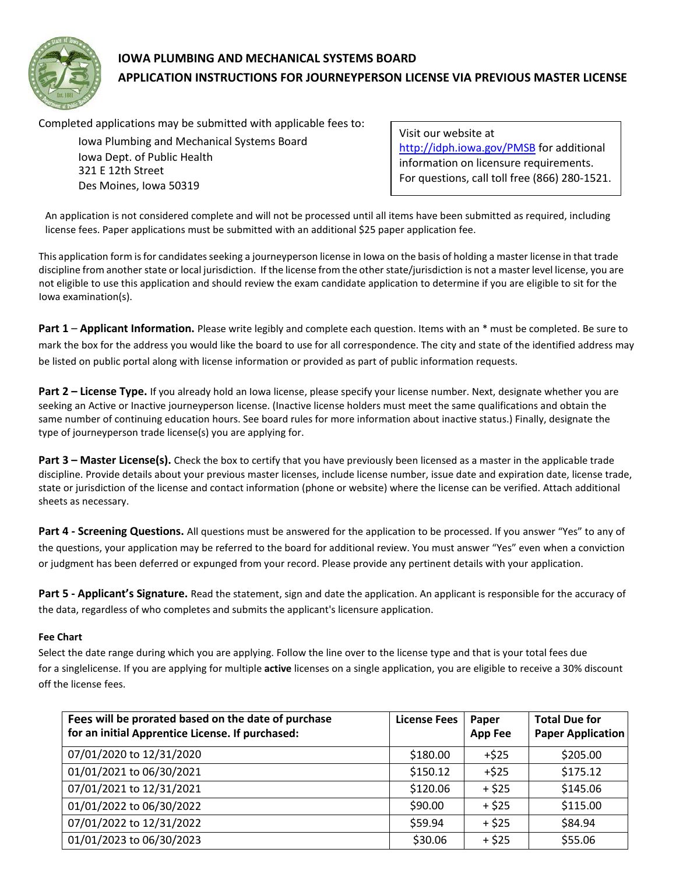

# **IOWA PLUMBING AND MECHANICAL SYSTEMS BOARD APPLICATION INSTRUCTIONS FOR JOURNEYPERSON LICENSE VIA PREVIOUS MASTER LICENSE**

Completed applications may be submitted with applicable fees to:

Iowa Plumbing and Mechanical Systems Board Iowa Dept. of Public Health 321 E 12th Street Des Moines, Iowa 50319

Visit our website at <http://idph.iowa.gov/PMSB> for additional information on licensure requirements. For questions, call toll free (866) 280-1521.

An application is not considered complete and will not be processed until all items have been submitted as required, including license fees. Paper applications must be submitted with an additional \$25 paper application fee.

This application form is for candidates seeking a journeyperson license in Iowa on the basis of holding a master license in that trade discipline from another state or local jurisdiction. If the license from the other state/jurisdiction is not a master level license, you are not eligible to use this application and should review the exam candidate application to determine if you are eligible to sit for the Iowa examination(s).

**Part 1** – **Applicant Information.** Please write legibly and complete each question. Items with an \* must be completed. Be sure to mark the box for the address you would like the board to use for all correspondence. The city and state of the identified address may be listed on public portal along with license information or provided as part of public information requests.

**Part 2 – License Type.** If you already hold an Iowa license, please specify your license number. Next, designate whether you are seeking an Active or Inactive journeyperson license. (Inactive license holders must meet the same qualifications and obtain the same number of continuing education hours. See board rules for more information about inactive status.) Finally, designate the type of journeyperson trade license(s) you are applying for.

**Part 3 – Master License(s).** Check the box to certify that you have previously been licensed as a master in the applicable trade discipline. Provide details about your previous master licenses, include license number, issue date and expiration date, license trade, state or jurisdiction of the license and contact information (phone or website) where the license can be verified. Attach additional sheets as necessary.

**Part 4 - Screening Questions.** All questions must be answered for the application to be processed. If you answer "Yes" to any of the questions, your application may be referred to the board for additional review. You must answer "Yes" even when a conviction or judgment has been deferred or expunged from your record. Please provide any pertinent details with your application.

**Part 5 - Applicant's Signature.** Read the statement, sign and date the application. An applicant is responsible for the accuracy of the data, regardless of who completes and submits the applicant's licensure application.

#### **Fee Chart**

Select the date range during which you are applying. Follow the line over to the license type and that is your total fees due for a singlelicense. If you are applying for multiple **active** licenses on a single application, you are eligible to receive a 30% discount off the license fees.

| Fees will be prorated based on the date of purchase<br>for an initial Apprentice License. If purchased: | <b>License Fees</b> | Paper<br><b>App Fee</b> | <b>Total Due for</b><br><b>Paper Application</b> |
|---------------------------------------------------------------------------------------------------------|---------------------|-------------------------|--------------------------------------------------|
| 07/01/2020 to 12/31/2020                                                                                | \$180.00            | $+525$                  | \$205.00                                         |
| 01/01/2021 to 06/30/2021                                                                                | \$150.12            | $+525$                  | \$175.12                                         |
| 07/01/2021 to 12/31/2021                                                                                | \$120.06            | $+ $25$                 | \$145.06                                         |
| 01/01/2022 to 06/30/2022                                                                                | \$90.00             | $+ $25$                 | \$115.00                                         |
| 07/01/2022 to 12/31/2022                                                                                | \$59.94             | $+ $25$                 | \$84.94                                          |
| 01/01/2023 to 06/30/2023                                                                                | \$30.06             | $+ $25$                 | \$55.06                                          |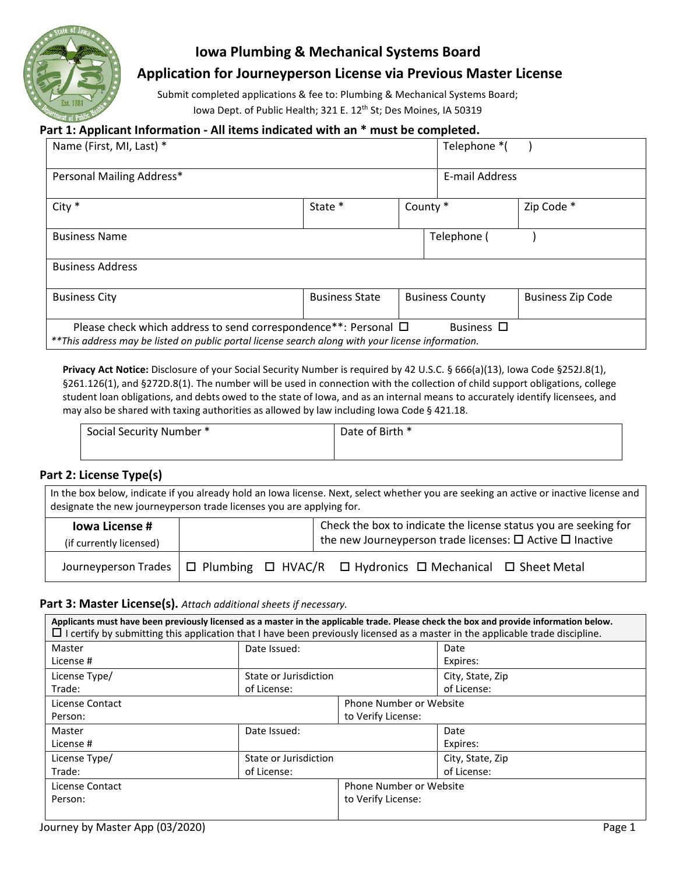

# **Iowa Plumbing & Mechanical Systems Board**

# **Application for Journeyperson License via Previous Master License**

Submit completed applications & fee to: Plumbing & Mechanical Systems Board; Iowa Dept. of Public Health; 321 E. 12<sup>th</sup> St; Des Moines, IA 50319

### **Part 1: Applicant Information - All items indicated with an \* must be completed.**

| Name (First, MI, Last) *                                                                                                                                                                     |                       |          | Telephone *(           |                          |  |
|----------------------------------------------------------------------------------------------------------------------------------------------------------------------------------------------|-----------------------|----------|------------------------|--------------------------|--|
| Personal Mailing Address*                                                                                                                                                                    |                       |          | E-mail Address         |                          |  |
| City *                                                                                                                                                                                       | State *               | County * |                        | Zip Code *               |  |
| <b>Business Name</b>                                                                                                                                                                         |                       |          | Telephone (            |                          |  |
| <b>Business Address</b>                                                                                                                                                                      |                       |          |                        |                          |  |
| <b>Business City</b>                                                                                                                                                                         | <b>Business State</b> |          | <b>Business County</b> | <b>Business Zip Code</b> |  |
| Please check which address to send correspondence**: Personal $\Box$<br>Business $\Box$<br>**This address may be listed on public portal license search along with your license information. |                       |          |                        |                          |  |

**Privacy Act Notice:** Disclosure of your Social Security Number is required by 42 U.S.C. § 666(a)(13), Iowa Code §252J.8(1), §261.126(1), and §272D.8(1). The number will be used in connection with the collection of child support obligations, college student loan obligations, and debts owed to the state of Iowa, and as an internal means to accurately identify licensees, and may also be shared with taxing authorities as allowed by law including Iowa Code § 421.18.

| Social Security Number * | Date of Birth * |
|--------------------------|-----------------|
|                          |                 |

#### **Part 2: License Type(s)**

In the box below, indicate if you already hold an Iowa license. Next, select whether you are seeking an active or inactive license and designate the new journeyperson trade licenses you are applying for.

| lowa License #                                                                                           |  |  | Check the box to indicate the license status you are seeking for          |
|----------------------------------------------------------------------------------------------------------|--|--|---------------------------------------------------------------------------|
| (if currently licensed)                                                                                  |  |  | the new Journeyperson trade licenses: $\square$ Active $\square$ Inactive |
| Journeyperson Trades $\Box$ Plumbing $\Box$ HVAC/R $\Box$ Hydronics $\Box$ Mechanical $\Box$ Sheet Metal |  |  |                                                                           |

#### **Part 3: Master License(s).** *Attach additional sheets if necessary.*

| Applicants must have been previously licensed as a master in the applicable trade. Please check the box and provide information below.<br>$\Box$ I certify by submitting this application that I have been previously licensed as a master in the applicable trade discipline. |                                |                         |                  |  |
|--------------------------------------------------------------------------------------------------------------------------------------------------------------------------------------------------------------------------------------------------------------------------------|--------------------------------|-------------------------|------------------|--|
| Master                                                                                                                                                                                                                                                                         | Date Issued:                   |                         | Date             |  |
| License #                                                                                                                                                                                                                                                                      |                                |                         | Expires:         |  |
| License Type/                                                                                                                                                                                                                                                                  | State or Jurisdiction          |                         | City, State, Zip |  |
| Trade:                                                                                                                                                                                                                                                                         | of License:                    |                         | of License:      |  |
| License Contact                                                                                                                                                                                                                                                                | <b>Phone Number or Website</b> |                         |                  |  |
| Person:                                                                                                                                                                                                                                                                        |                                | to Verify License:      |                  |  |
| Master                                                                                                                                                                                                                                                                         | Date Issued:                   |                         | Date             |  |
| License #                                                                                                                                                                                                                                                                      |                                |                         | Expires:         |  |
| License Type/                                                                                                                                                                                                                                                                  | State or Jurisdiction          |                         | City, State, Zip |  |
| Trade:                                                                                                                                                                                                                                                                         | of License:                    |                         | of License:      |  |
| License Contact                                                                                                                                                                                                                                                                |                                | Phone Number or Website |                  |  |
| Person:                                                                                                                                                                                                                                                                        |                                | to Verify License:      |                  |  |
|                                                                                                                                                                                                                                                                                |                                |                         |                  |  |